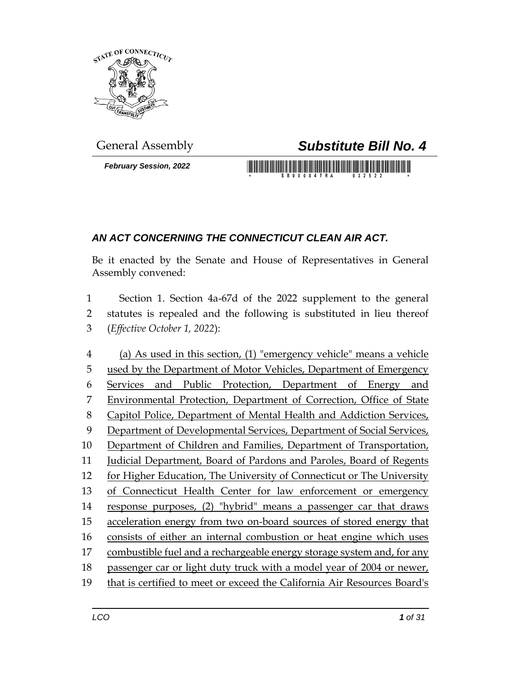

*February Session, 2022*

## General Assembly *Substitute Bill No. 4*

## *AN ACT CONCERNING THE CONNECTICUT CLEAN AIR ACT.*

Be it enacted by the Senate and House of Representatives in General Assembly convened:

 Section 1. Section 4a-67d of the 2022 supplement to the general statutes is repealed and the following is substituted in lieu thereof (*Effective October 1, 2022*):

 (a) As used in this section, (1) "emergency vehicle" means a vehicle used by the Department of Motor Vehicles, Department of Emergency Services and Public Protection, Department of Energy and Environmental Protection, Department of Correction, Office of State Capitol Police, Department of Mental Health and Addiction Services, 9 Department of Developmental Services, Department of Social Services, Department of Children and Families, Department of Transportation, Judicial Department, Board of Pardons and Paroles, Board of Regents for Higher Education, The University of Connecticut or The University of Connecticut Health Center for law enforcement or emergency response purposes, (2) "hybrid" means a passenger car that draws acceleration energy from two on-board sources of stored energy that consists of either an internal combustion or heat engine which uses combustible fuel and a rechargeable energy storage system and, for any passenger car or light duty truck with a model year of 2004 or newer, that is certified to meet or exceed the California Air Resources Board's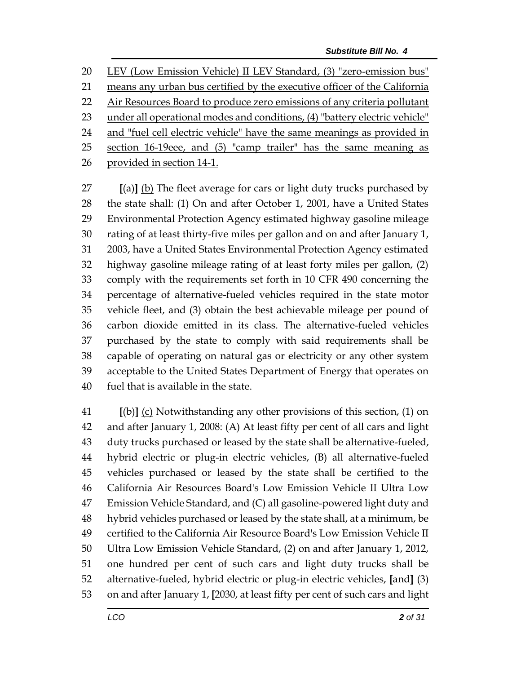LEV (Low Emission Vehicle) II LEV Standard, (3) "zero-emission bus"

21 means any urban bus certified by the executive officer of the California

22 Air Resources Board to produce zero emissions of any criteria pollutant

under all operational modes and conditions, (4) "battery electric vehicle"

24 and "fuel cell electric vehicle" have the same meanings as provided in

section 16-19eee, and (5) "camp trailer" has the same meaning as

provided in section 14-1.

 **[**(a)**]** (b) The fleet average for cars or light duty trucks purchased by the state shall: (1) On and after October 1, 2001, have a United States Environmental Protection Agency estimated highway gasoline mileage rating of at least thirty-five miles per gallon and on and after January 1, 2003, have a United States Environmental Protection Agency estimated highway gasoline mileage rating of at least forty miles per gallon, (2) comply with the requirements set forth in 10 CFR 490 concerning the percentage of alternative-fueled vehicles required in the state motor vehicle fleet, and (3) obtain the best achievable mileage per pound of carbon dioxide emitted in its class. The alternative-fueled vehicles purchased by the state to comply with said requirements shall be capable of operating on natural gas or electricity or any other system acceptable to the United States Department of Energy that operates on fuel that is available in the state.

 **[**(b)**]** (c) Notwithstanding any other provisions of this section, (1) on and after January 1, 2008: (A) At least fifty per cent of all cars and light duty trucks purchased or leased by the state shall be alternative-fueled, hybrid electric or plug-in electric vehicles, (B) all alternative-fueled vehicles purchased or leased by the state shall be certified to the California Air Resources Board's Low Emission Vehicle II Ultra Low Emission Vehicle Standard, and (C) all gasoline-powered light duty and hybrid vehicles purchased or leased by the state shall, at a minimum, be certified to the California Air Resource Board's Low Emission Vehicle II Ultra Low Emission Vehicle Standard, (2) on and after January 1, 2012, one hundred per cent of such cars and light duty trucks shall be alternative-fueled, hybrid electric or plug-in electric vehicles, **[**and**]** (3) on and after January 1, **[**2030, at least fifty per cent of such cars and light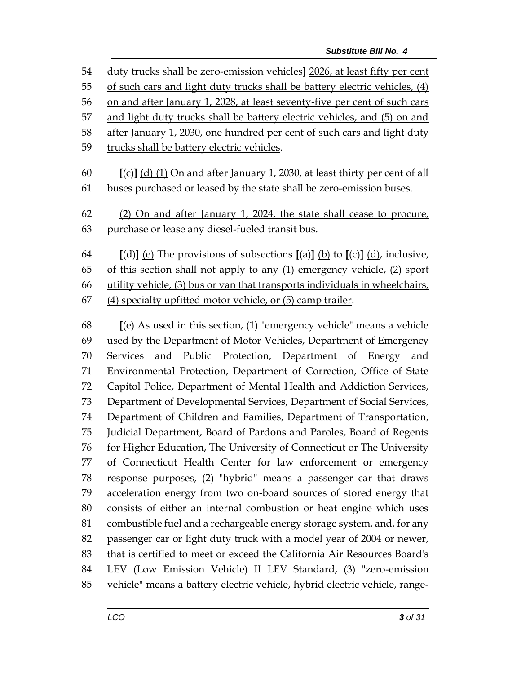| 54 | duty trucks shall be zero-emission vehicles] 2026, at least fifty per cent                       |  |  |
|----|--------------------------------------------------------------------------------------------------|--|--|
| 55 | of such cars and light duty trucks shall be battery electric vehicles, (4)                       |  |  |
| 56 | on and after January 1, 2028, at least seventy-five per cent of such cars                        |  |  |
| 57 | and light duty trucks shall be battery electric vehicles, and (5) on and                         |  |  |
| 58 | after January 1, 2030, one hundred per cent of such cars and light duty                          |  |  |
| 59 | trucks shall be battery electric vehicles.                                                       |  |  |
| 60 | $[(c)]$ (d) (1) On and after January 1, 2030, at least thirty per cent of all                    |  |  |
| 61 | buses purchased or leased by the state shall be zero-emission buses.                             |  |  |
| 62 | (2) On and after January 1, 2024, the state shall cease to procure,                              |  |  |
| 63 | purchase or lease any diesel-fueled transit bus.                                                 |  |  |
| 64 | [(d)] <u>(e)</u> The provisions of subsections [(a)] <u>(b)</u> to [(c)] <u>(d)</u> , inclusive, |  |  |
| 65 | of this section shall not apply to any $(1)$ emergency vehicle, $(2)$ sport                      |  |  |
| 66 | utility vehicle, (3) bus or van that transports individuals in wheelchairs,                      |  |  |
| 67 | (4) specialty upfitted motor vehicle, or (5) camp trailer.                                       |  |  |
| 68 | $[$ (e) As used in this section, $(1)$ "emergency vehicle" means a vehicle                       |  |  |
| 69 | used by the Department of Motor Vehicles, Department of Emergency                                |  |  |
| 70 | and Public Protection, Department of Energy and<br><b>Services</b>                               |  |  |
| 71 | Environmental Protection, Department of Correction, Office of State                              |  |  |
| 72 | Capitol Police, Department of Mental Health and Addiction Services,                              |  |  |
| 73 | Department of Developmental Services, Department of Social Services,                             |  |  |
| 74 | Department of Children and Families, Department of Transportation,                               |  |  |
| 75 | Judicial Department, Board of Pardons and Paroles, Board of Regents                              |  |  |
| 76 | for Higher Education, The University of Connecticut or The University                            |  |  |
| 77 | of Connecticut Health Center for law enforcement or emergency                                    |  |  |
| 78 | response purposes, (2) "hybrid" means a passenger car that draws                                 |  |  |
| 79 | acceleration energy from two on-board sources of stored energy that                              |  |  |
| 80 | consists of either an internal combustion or heat engine which uses                              |  |  |
| 81 | combustible fuel and a rechargeable energy storage system, and, for any                          |  |  |

 passenger car or light duty truck with a model year of 2004 or newer, that is certified to meet or exceed the California Air Resources Board's

 LEV (Low Emission Vehicle) II LEV Standard, (3) "zero-emission vehicle" means a battery electric vehicle, hybrid electric vehicle, range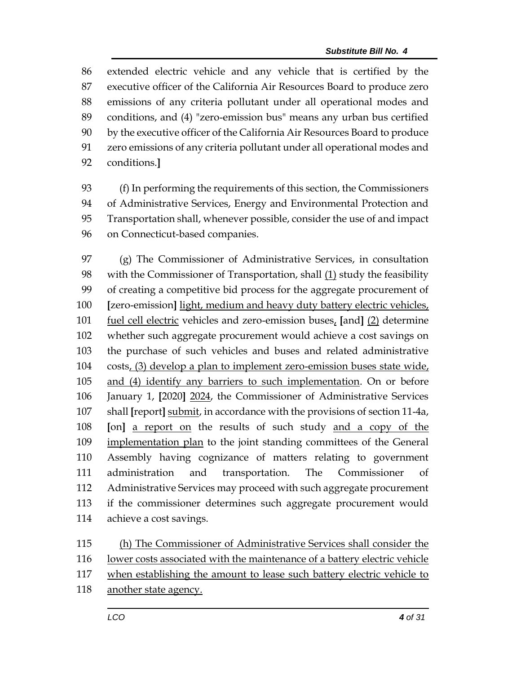extended electric vehicle and any vehicle that is certified by the executive officer of the California Air Resources Board to produce zero emissions of any criteria pollutant under all operational modes and conditions, and (4) "zero-emission bus" means any urban bus certified by the executive officer of the California Air Resources Board to produce zero emissions of any criteria pollutant under all operational modes and conditions.**]**

 (f) In performing the requirements of this section, the Commissioners of Administrative Services, Energy and Environmental Protection and Transportation shall, whenever possible, consider the use of and impact on Connecticut-based companies.

 (g) The Commissioner of Administrative Services, in consultation with the Commissioner of Transportation, shall (1) study the feasibility of creating a competitive bid process for the aggregate procurement of **[**zero-emission**]** light, medium and heavy duty battery electric vehicles, fuel cell electric vehicles and zero-emission buses, **[**and**]** (2) determine whether such aggregate procurement would achieve a cost savings on the purchase of such vehicles and buses and related administrative costs, (3) develop a plan to implement zero-emission buses state wide, and (4) identify any barriers to such implementation. On or before January 1, **[**2020**]** 2024, the Commissioner of Administrative Services shall **[**report**]** submit, in accordance with the provisions of section 11-4a, **[**on**]** a report on the results of such study and a copy of the implementation plan to the joint standing committees of the General Assembly having cognizance of matters relating to government administration and transportation. The Commissioner of Administrative Services may proceed with such aggregate procurement if the commissioner determines such aggregate procurement would achieve a cost savings.

 (h) The Commissioner of Administrative Services shall consider the lower costs associated with the maintenance of a battery electric vehicle when establishing the amount to lease such battery electric vehicle to another state agency.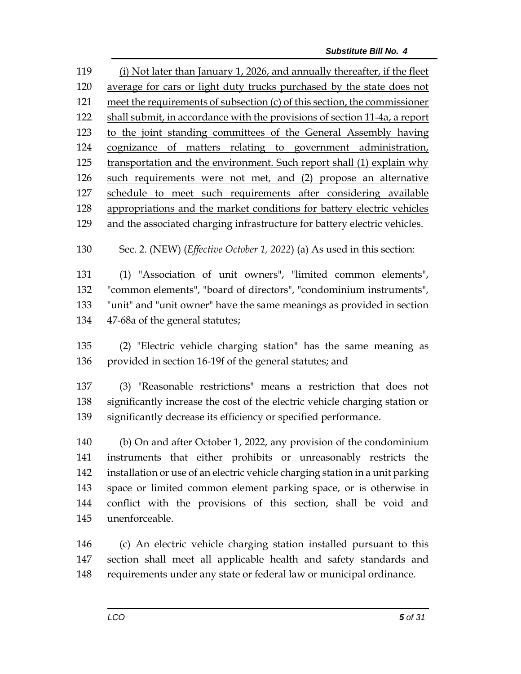(i) Not later than January 1, 2026, and annually thereafter, if the fleet average for cars or light duty trucks purchased by the state does not meet the requirements of subsection (c) of this section, the commissioner 122 shall submit, in accordance with the provisions of section 11-4a, a report to the joint standing committees of the General Assembly having cognizance of matters relating to government administration, transportation and the environment. Such report shall (1) explain why such requirements were not met, and (2) propose an alternative schedule to meet such requirements after considering available appropriations and the market conditions for battery electric vehicles and the associated charging infrastructure for battery electric vehicles.

Sec. 2. (NEW) (*Effective October 1, 2022*) (a) As used in this section:

 (1) "Association of unit owners", "limited common elements", "common elements", "board of directors", "condominium instruments", "unit" and "unit owner" have the same meanings as provided in section 47-68a of the general statutes;

 (2) "Electric vehicle charging station" has the same meaning as provided in section 16-19f of the general statutes; and

 (3) "Reasonable restrictions" means a restriction that does not significantly increase the cost of the electric vehicle charging station or significantly decrease its efficiency or specified performance.

 (b) On and after October 1, 2022, any provision of the condominium instruments that either prohibits or unreasonably restricts the installation or use of an electric vehicle charging station in a unit parking space or limited common element parking space, or is otherwise in conflict with the provisions of this section, shall be void and unenforceable.

 (c) An electric vehicle charging station installed pursuant to this section shall meet all applicable health and safety standards and requirements under any state or federal law or municipal ordinance.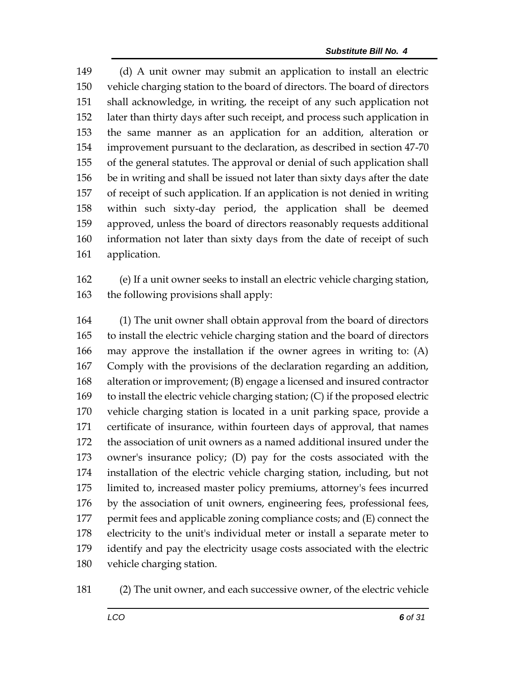(d) A unit owner may submit an application to install an electric vehicle charging station to the board of directors. The board of directors shall acknowledge, in writing, the receipt of any such application not later than thirty days after such receipt, and process such application in the same manner as an application for an addition, alteration or improvement pursuant to the declaration, as described in section 47-70 of the general statutes. The approval or denial of such application shall be in writing and shall be issued not later than sixty days after the date of receipt of such application. If an application is not denied in writing within such sixty-day period, the application shall be deemed approved, unless the board of directors reasonably requests additional information not later than sixty days from the date of receipt of such application.

 (e) If a unit owner seeks to install an electric vehicle charging station, the following provisions shall apply:

 (1) The unit owner shall obtain approval from the board of directors to install the electric vehicle charging station and the board of directors may approve the installation if the owner agrees in writing to: (A) Comply with the provisions of the declaration regarding an addition, alteration or improvement; (B) engage a licensed and insured contractor to install the electric vehicle charging station; (C) if the proposed electric vehicle charging station is located in a unit parking space, provide a certificate of insurance, within fourteen days of approval, that names the association of unit owners as a named additional insured under the owner's insurance policy; (D) pay for the costs associated with the installation of the electric vehicle charging station, including, but not limited to, increased master policy premiums, attorney's fees incurred by the association of unit owners, engineering fees, professional fees, permit fees and applicable zoning compliance costs; and (E) connect the electricity to the unit's individual meter or install a separate meter to identify and pay the electricity usage costs associated with the electric vehicle charging station.

(2) The unit owner, and each successive owner, of the electric vehicle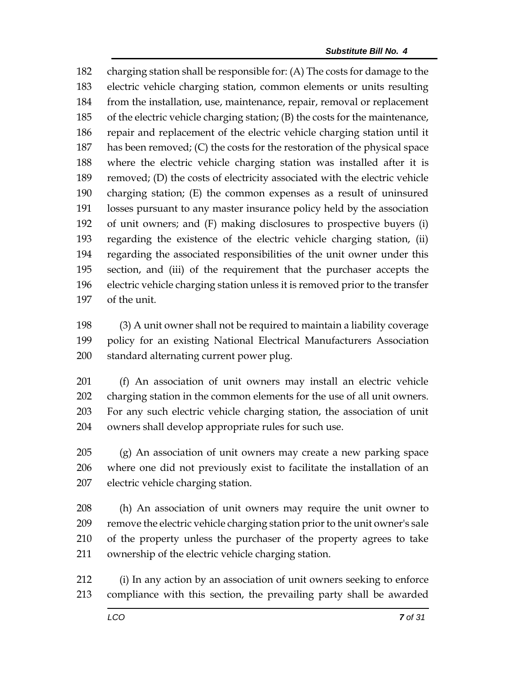charging station shall be responsible for: (A) The costs for damage to the electric vehicle charging station, common elements or units resulting from the installation, use, maintenance, repair, removal or replacement of the electric vehicle charging station; (B) the costs for the maintenance, repair and replacement of the electric vehicle charging station until it has been removed; (C) the costs for the restoration of the physical space where the electric vehicle charging station was installed after it is removed; (D) the costs of electricity associated with the electric vehicle charging station; (E) the common expenses as a result of uninsured losses pursuant to any master insurance policy held by the association of unit owners; and (F) making disclosures to prospective buyers (i) regarding the existence of the electric vehicle charging station, (ii) regarding the associated responsibilities of the unit owner under this section, and (iii) of the requirement that the purchaser accepts the electric vehicle charging station unless it is removed prior to the transfer of the unit.

 (3) A unit owner shall not be required to maintain a liability coverage policy for an existing National Electrical Manufacturers Association standard alternating current power plug.

 (f) An association of unit owners may install an electric vehicle charging station in the common elements for the use of all unit owners. For any such electric vehicle charging station, the association of unit owners shall develop appropriate rules for such use.

 (g) An association of unit owners may create a new parking space where one did not previously exist to facilitate the installation of an electric vehicle charging station.

 (h) An association of unit owners may require the unit owner to remove the electric vehicle charging station prior to the unit owner's sale of the property unless the purchaser of the property agrees to take ownership of the electric vehicle charging station.

 (i) In any action by an association of unit owners seeking to enforce compliance with this section, the prevailing party shall be awarded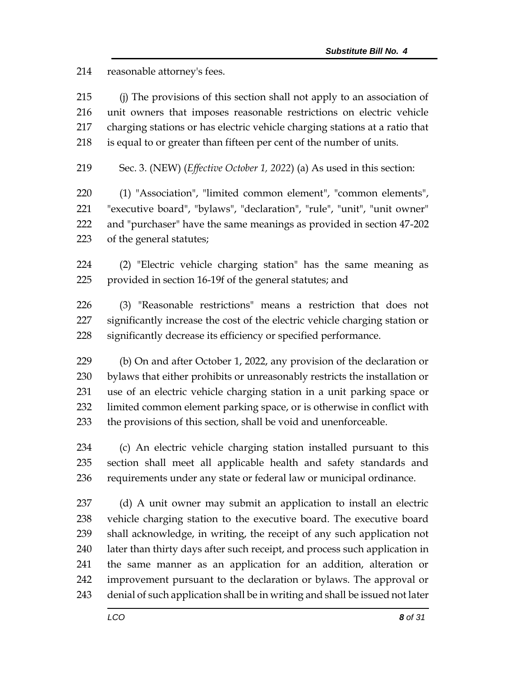reasonable attorney's fees.

 (j) The provisions of this section shall not apply to an association of unit owners that imposes reasonable restrictions on electric vehicle charging stations or has electric vehicle charging stations at a ratio that is equal to or greater than fifteen per cent of the number of units.

Sec. 3. (NEW) (*Effective October 1, 2022*) (a) As used in this section:

 (1) "Association", "limited common element", "common elements", "executive board", "bylaws", "declaration", "rule", "unit", "unit owner" and "purchaser" have the same meanings as provided in section 47-202 of the general statutes;

 (2) "Electric vehicle charging station" has the same meaning as provided in section 16-19f of the general statutes; and

 (3) "Reasonable restrictions" means a restriction that does not significantly increase the cost of the electric vehicle charging station or significantly decrease its efficiency or specified performance.

 (b) On and after October 1, 2022, any provision of the declaration or bylaws that either prohibits or unreasonably restricts the installation or use of an electric vehicle charging station in a unit parking space or limited common element parking space, or is otherwise in conflict with the provisions of this section, shall be void and unenforceable.

 (c) An electric vehicle charging station installed pursuant to this section shall meet all applicable health and safety standards and requirements under any state or federal law or municipal ordinance.

 (d) A unit owner may submit an application to install an electric vehicle charging station to the executive board. The executive board shall acknowledge, in writing, the receipt of any such application not later than thirty days after such receipt, and process such application in the same manner as an application for an addition, alteration or improvement pursuant to the declaration or bylaws. The approval or denial of such application shall be in writing and shall be issued not later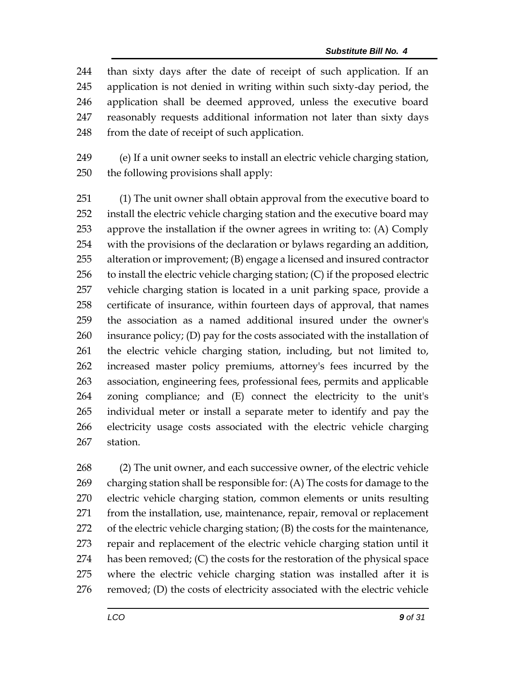than sixty days after the date of receipt of such application. If an application is not denied in writing within such sixty-day period, the application shall be deemed approved, unless the executive board reasonably requests additional information not later than sixty days 248 from the date of receipt of such application.

 (e) If a unit owner seeks to install an electric vehicle charging station, the following provisions shall apply:

 (1) The unit owner shall obtain approval from the executive board to install the electric vehicle charging station and the executive board may approve the installation if the owner agrees in writing to: (A) Comply with the provisions of the declaration or bylaws regarding an addition, alteration or improvement; (B) engage a licensed and insured contractor to install the electric vehicle charging station; (C) if the proposed electric vehicle charging station is located in a unit parking space, provide a certificate of insurance, within fourteen days of approval, that names the association as a named additional insured under the owner's insurance policy; (D) pay for the costs associated with the installation of the electric vehicle charging station, including, but not limited to, increased master policy premiums, attorney's fees incurred by the association, engineering fees, professional fees, permits and applicable zoning compliance; and (E) connect the electricity to the unit's individual meter or install a separate meter to identify and pay the electricity usage costs associated with the electric vehicle charging station.

 (2) The unit owner, and each successive owner, of the electric vehicle charging station shall be responsible for: (A) The costs for damage to the electric vehicle charging station, common elements or units resulting from the installation, use, maintenance, repair, removal or replacement of the electric vehicle charging station; (B) the costs for the maintenance, repair and replacement of the electric vehicle charging station until it has been removed; (C) the costs for the restoration of the physical space where the electric vehicle charging station was installed after it is removed; (D) the costs of electricity associated with the electric vehicle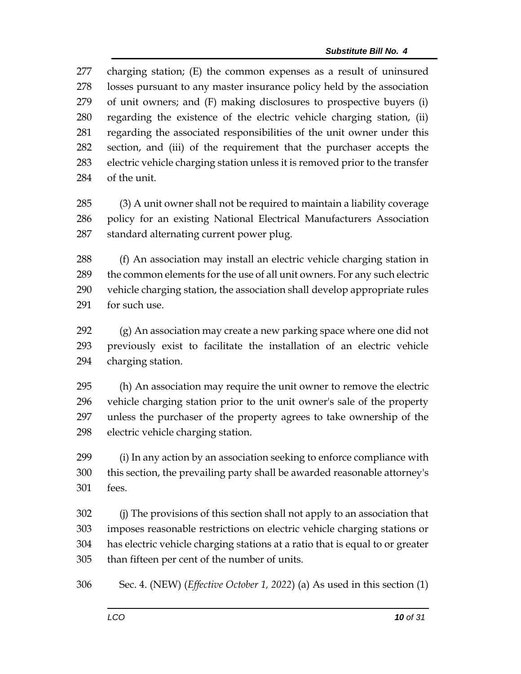charging station; (E) the common expenses as a result of uninsured losses pursuant to any master insurance policy held by the association of unit owners; and (F) making disclosures to prospective buyers (i) regarding the existence of the electric vehicle charging station, (ii) regarding the associated responsibilities of the unit owner under this section, and (iii) of the requirement that the purchaser accepts the electric vehicle charging station unless it is removed prior to the transfer of the unit.

 (3) A unit owner shall not be required to maintain a liability coverage policy for an existing National Electrical Manufacturers Association standard alternating current power plug.

 (f) An association may install an electric vehicle charging station in the common elements for the use of all unit owners. For any such electric vehicle charging station, the association shall develop appropriate rules for such use.

 (g) An association may create a new parking space where one did not previously exist to facilitate the installation of an electric vehicle charging station.

 (h) An association may require the unit owner to remove the electric vehicle charging station prior to the unit owner's sale of the property unless the purchaser of the property agrees to take ownership of the electric vehicle charging station.

 (i) In any action by an association seeking to enforce compliance with this section, the prevailing party shall be awarded reasonable attorney's fees.

 (j) The provisions of this section shall not apply to an association that imposes reasonable restrictions on electric vehicle charging stations or has electric vehicle charging stations at a ratio that is equal to or greater than fifteen per cent of the number of units.

Sec. 4. (NEW) (*Effective October 1, 2022*) (a) As used in this section (1)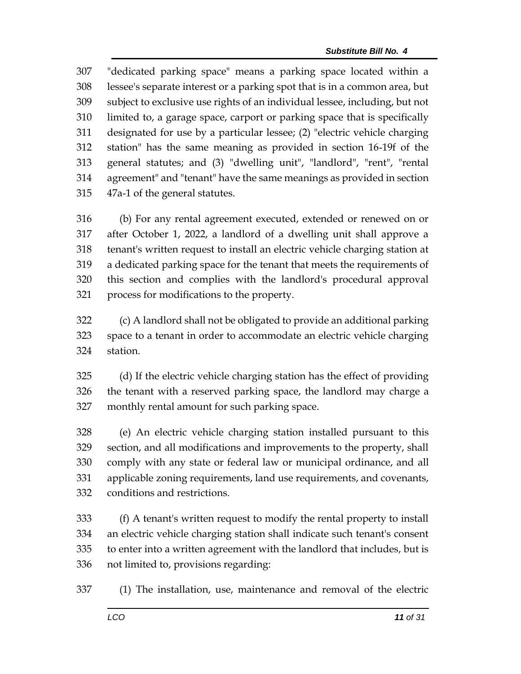"dedicated parking space" means a parking space located within a lessee's separate interest or a parking spot that is in a common area, but subject to exclusive use rights of an individual lessee, including, but not limited to, a garage space, carport or parking space that is specifically designated for use by a particular lessee; (2) "electric vehicle charging station" has the same meaning as provided in section 16-19f of the general statutes; and (3) "dwelling unit", "landlord", "rent", "rental agreement" and "tenant" have the same meanings as provided in section 47a-1 of the general statutes.

 (b) For any rental agreement executed, extended or renewed on or after October 1, 2022, a landlord of a dwelling unit shall approve a tenant's written request to install an electric vehicle charging station at a dedicated parking space for the tenant that meets the requirements of this section and complies with the landlord's procedural approval process for modifications to the property.

 (c) A landlord shall not be obligated to provide an additional parking space to a tenant in order to accommodate an electric vehicle charging station.

 (d) If the electric vehicle charging station has the effect of providing the tenant with a reserved parking space, the landlord may charge a monthly rental amount for such parking space.

 (e) An electric vehicle charging station installed pursuant to this section, and all modifications and improvements to the property, shall comply with any state or federal law or municipal ordinance, and all applicable zoning requirements, land use requirements, and covenants, conditions and restrictions.

 (f) A tenant's written request to modify the rental property to install an electric vehicle charging station shall indicate such tenant's consent to enter into a written agreement with the landlord that includes, but is not limited to, provisions regarding:

(1) The installation, use, maintenance and removal of the electric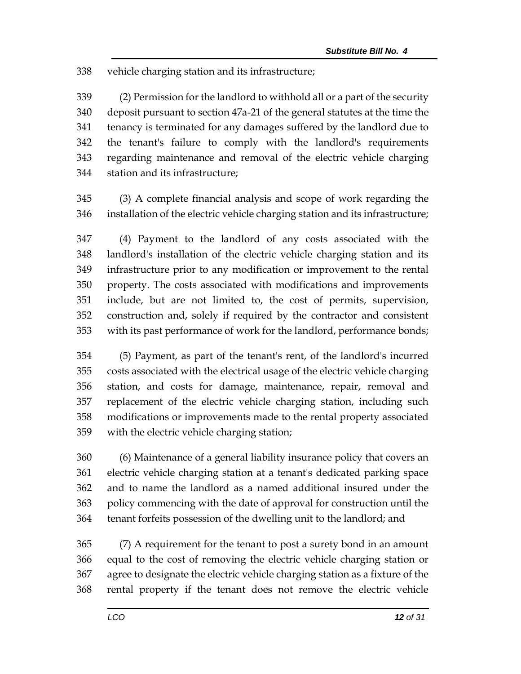vehicle charging station and its infrastructure;

 (2) Permission for the landlord to withhold all or a part of the security deposit pursuant to section 47a-21 of the general statutes at the time the tenancy is terminated for any damages suffered by the landlord due to the tenant's failure to comply with the landlord's requirements regarding maintenance and removal of the electric vehicle charging station and its infrastructure;

 (3) A complete financial analysis and scope of work regarding the installation of the electric vehicle charging station and its infrastructure;

 (4) Payment to the landlord of any costs associated with the landlord's installation of the electric vehicle charging station and its infrastructure prior to any modification or improvement to the rental property. The costs associated with modifications and improvements include, but are not limited to, the cost of permits, supervision, construction and, solely if required by the contractor and consistent with its past performance of work for the landlord, performance bonds;

 (5) Payment, as part of the tenant's rent, of the landlord's incurred costs associated with the electrical usage of the electric vehicle charging station, and costs for damage, maintenance, repair, removal and replacement of the electric vehicle charging station, including such modifications or improvements made to the rental property associated with the electric vehicle charging station;

 (6) Maintenance of a general liability insurance policy that covers an electric vehicle charging station at a tenant's dedicated parking space and to name the landlord as a named additional insured under the policy commencing with the date of approval for construction until the tenant forfeits possession of the dwelling unit to the landlord; and

 (7) A requirement for the tenant to post a surety bond in an amount equal to the cost of removing the electric vehicle charging station or agree to designate the electric vehicle charging station as a fixture of the rental property if the tenant does not remove the electric vehicle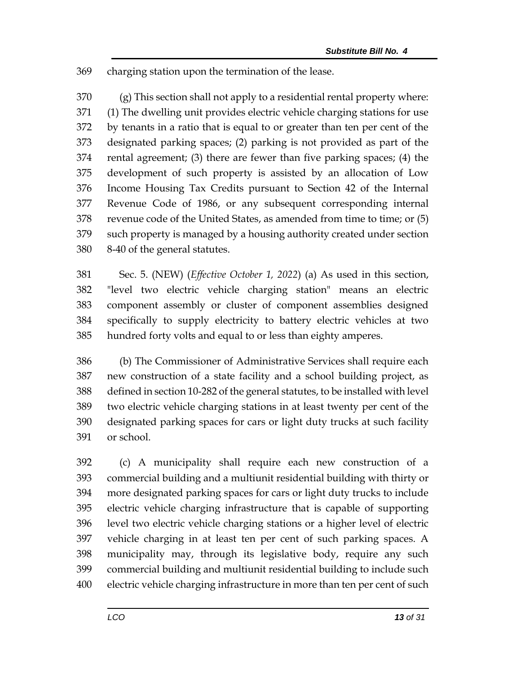charging station upon the termination of the lease.

 (g) This section shall not apply to a residential rental property where: (1) The dwelling unit provides electric vehicle charging stations for use by tenants in a ratio that is equal to or greater than ten per cent of the designated parking spaces; (2) parking is not provided as part of the rental agreement; (3) there are fewer than five parking spaces; (4) the development of such property is assisted by an allocation of Low Income Housing Tax Credits pursuant to Section 42 of the Internal Revenue Code of 1986, or any subsequent corresponding internal revenue code of the United States, as amended from time to time; or (5) such property is managed by a housing authority created under section 8-40 of the general statutes.

 Sec. 5. (NEW) (*Effective October 1, 2022*) (a) As used in this section, "level two electric vehicle charging station" means an electric component assembly or cluster of component assemblies designed specifically to supply electricity to battery electric vehicles at two hundred forty volts and equal to or less than eighty amperes.

 (b) The Commissioner of Administrative Services shall require each new construction of a state facility and a school building project, as defined in section 10-282 of the general statutes, to be installed with level two electric vehicle charging stations in at least twenty per cent of the designated parking spaces for cars or light duty trucks at such facility or school.

 (c) A municipality shall require each new construction of a commercial building and a multiunit residential building with thirty or more designated parking spaces for cars or light duty trucks to include electric vehicle charging infrastructure that is capable of supporting level two electric vehicle charging stations or a higher level of electric vehicle charging in at least ten per cent of such parking spaces. A municipality may, through its legislative body, require any such commercial building and multiunit residential building to include such electric vehicle charging infrastructure in more than ten per cent of such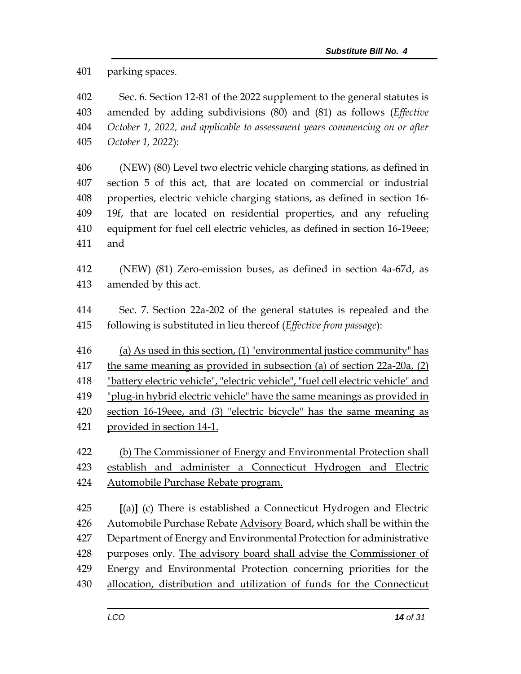parking spaces.

 Sec. 6. Section 12-81 of the 2022 supplement to the general statutes is amended by adding subdivisions (80) and (81) as follows (*Effective October 1, 2022, and applicable to assessment years commencing on or after October 1, 2022*):

 (NEW) (80) Level two electric vehicle charging stations, as defined in section 5 of this act, that are located on commercial or industrial properties, electric vehicle charging stations, as defined in section 16- 19f, that are located on residential properties, and any refueling equipment for fuel cell electric vehicles, as defined in section 16-19eee; and

- (NEW) (81) Zero-emission buses, as defined in section 4a-67d, as amended by this act.
- Sec. 7. Section 22a-202 of the general statutes is repealed and the following is substituted in lieu thereof (*Effective from passage*):
- (a) As used in this section, (1) "environmental justice community" has
- the same meaning as provided in subsection (a) of section 22a-20a, (2)
- "battery electric vehicle", "electric vehicle", "fuel cell electric vehicle" and
- "plug-in hybrid electric vehicle" have the same meanings as provided in
- section 16-19eee, and (3) "electric bicycle" has the same meaning as provided in section 14-1.
- (b) The Commissioner of Energy and Environmental Protection shall establish and administer a Connecticut Hydrogen and Electric Automobile Purchase Rebate program.

 **[**(a)**]** (c) There is established a Connecticut Hydrogen and Electric 426 Automobile Purchase Rebate Advisory Board, which shall be within the Department of Energy and Environmental Protection for administrative purposes only. The advisory board shall advise the Commissioner of Energy and Environmental Protection concerning priorities for the allocation, distribution and utilization of funds for the Connecticut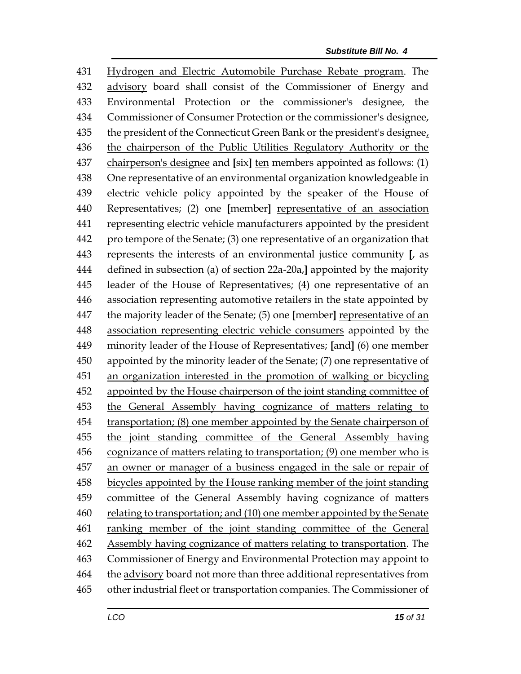Hydrogen and Electric Automobile Purchase Rebate program. The advisory board shall consist of the Commissioner of Energy and Environmental Protection or the commissioner's designee, the Commissioner of Consumer Protection or the commissioner's designee, 435 the president of the Connecticut Green Bank or the president's designee, the chairperson of the Public Utilities Regulatory Authority or the chairperson's designee and **[**six**]** ten members appointed as follows: (1) One representative of an environmental organization knowledgeable in electric vehicle policy appointed by the speaker of the House of Representatives; (2) one **[**member**]** representative of an association representing electric vehicle manufacturers appointed by the president pro tempore of the Senate; (3) one representative of an organization that represents the interests of an environmental justice community **[**, as defined in subsection (a) of section 22a-20a,**]** appointed by the majority leader of the House of Representatives; (4) one representative of an association representing automotive retailers in the state appointed by the majority leader of the Senate; (5) one **[**member**]** representative of an association representing electric vehicle consumers appointed by the minority leader of the House of Representatives; **[**and**]** (6) one member appointed by the minority leader of the Senate; (7) one representative of an organization interested in the promotion of walking or bicycling 452 appointed by the House chairperson of the joint standing committee of the General Assembly having cognizance of matters relating to transportation; (8) one member appointed by the Senate chairperson of the joint standing committee of the General Assembly having cognizance of matters relating to transportation; (9) one member who is an owner or manager of a business engaged in the sale or repair of bicycles appointed by the House ranking member of the joint standing committee of the General Assembly having cognizance of matters relating to transportation; and (10) one member appointed by the Senate 461 ranking member of the joint standing committee of the General 462 Assembly having cognizance of matters relating to transportation. The Commissioner of Energy and Environmental Protection may appoint to the advisory board not more than three additional representatives from other industrial fleet or transportation companies. The Commissioner of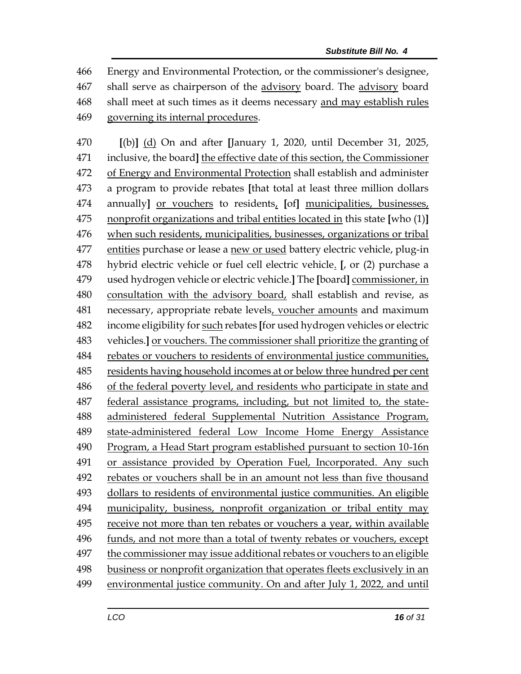Energy and Environmental Protection, or the commissioner's designee, shall serve as chairperson of the advisory board. The advisory board shall meet at such times as it deems necessary and may establish rules governing its internal procedures.

 **[**(b)**]** (d) On and after **[**January 1, 2020, until December 31, 2025, inclusive, the board**]** the effective date of this section, the Commissioner of Energy and Environmental Protection shall establish and administer a program to provide rebates **[**that total at least three million dollars annually**]** or vouchers to residents, **[**of**]** municipalities, businesses, nonprofit organizations and tribal entities located in this state **[**who (1)**]** when such residents, municipalities, businesses, organizations or tribal entities purchase or lease a new or used battery electric vehicle, plug-in hybrid electric vehicle or fuel cell electric vehicle. **[**, or (2) purchase a used hydrogen vehicle or electric vehicle.**]** The **[**board**]** commissioner, in consultation with the advisory board, shall establish and revise, as necessary, appropriate rebate levels, voucher amounts and maximum income eligibility for such rebates **[**for used hydrogen vehicles or electric vehicles.**]** or vouchers. The commissioner shall prioritize the granting of rebates or vouchers to residents of environmental justice communities, residents having household incomes at or below three hundred per cent of the federal poverty level, and residents who participate in state and federal assistance programs, including, but not limited to, the state- administered federal Supplemental Nutrition Assistance Program, state-administered federal Low Income Home Energy Assistance Program, a Head Start program established pursuant to section 10-16n or assistance provided by Operation Fuel, Incorporated. Any such rebates or vouchers shall be in an amount not less than five thousand dollars to residents of environmental justice communities. An eligible municipality, business, nonprofit organization or tribal entity may receive not more than ten rebates or vouchers a year, within available funds, and not more than a total of twenty rebates or vouchers, except the commissioner may issue additional rebates or vouchers to an eligible business or nonprofit organization that operates fleets exclusively in an environmental justice community. On and after July 1, 2022, and until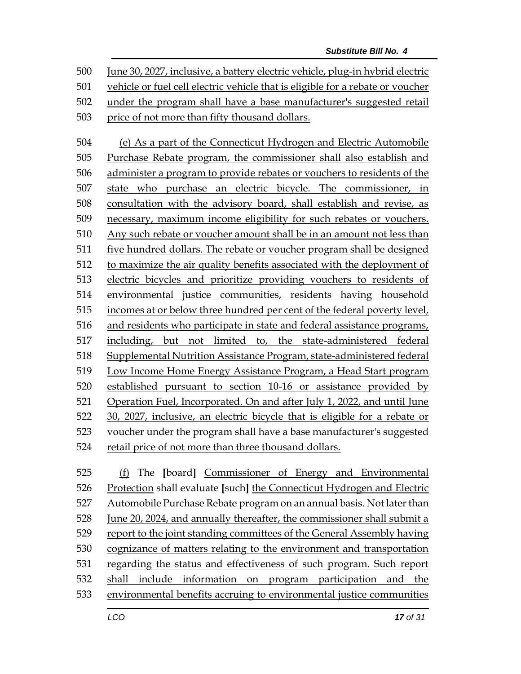June 30, 2027, inclusive, a battery electric vehicle, plug-in hybrid electric vehicle or fuel cell electric vehicle that is eligible for a rebate or voucher under the program shall have a base manufacturer's suggested retail price of not more than fifty thousand dollars.

 (e) As a part of the Connecticut Hydrogen and Electric Automobile Purchase Rebate program, the commissioner shall also establish and administer a program to provide rebates or vouchers to residents of the state who purchase an electric bicycle. The commissioner, in consultation with the advisory board, shall establish and revise, as necessary, maximum income eligibility for such rebates or vouchers. Any such rebate or voucher amount shall be in an amount not less than five hundred dollars. The rebate or voucher program shall be designed to maximize the air quality benefits associated with the deployment of electric bicycles and prioritize providing vouchers to residents of environmental justice communities, residents having household incomes at or below three hundred per cent of the federal poverty level, and residents who participate in state and federal assistance programs, including, but not limited to, the state-administered federal Supplemental Nutrition Assistance Program, state-administered federal Low Income Home Energy Assistance Program, a Head Start program established pursuant to section 10-16 or assistance provided by Operation Fuel, Incorporated. On and after July 1, 2022, and until June 30, 2027, inclusive, an electric bicycle that is eligible for a rebate or voucher under the program shall have a base manufacturer's suggested retail price of not more than three thousand dollars.

 (f) The **[**board**]** Commissioner of Energy and Environmental Protection shall evaluate **[**such**]** the Connecticut Hydrogen and Electric Automobile Purchase Rebate program on an annual basis. Not later than June 20, 2024, and annually thereafter, the commissioner shall submit a report to the joint standing committees of the General Assembly having cognizance of matters relating to the environment and transportation regarding the status and effectiveness of such program. Such report shall include information on program participation and the environmental benefits accruing to environmental justice communities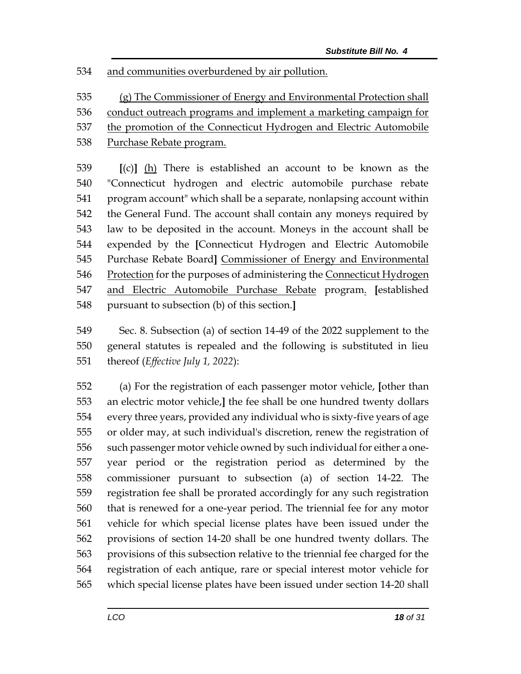and communities overburdened by air pollution.

 (g) The Commissioner of Energy and Environmental Protection shall conduct outreach programs and implement a marketing campaign for the promotion of the Connecticut Hydrogen and Electric Automobile

538 Purchase Rebate program.

 **[**(c)**]** (h) There is established an account to be known as the "Connecticut hydrogen and electric automobile purchase rebate program account" which shall be a separate, nonlapsing account within the General Fund. The account shall contain any moneys required by law to be deposited in the account. Moneys in the account shall be expended by the **[**Connecticut Hydrogen and Electric Automobile Purchase Rebate Board**]** Commissioner of Energy and Environmental 546 Protection for the purposes of administering the Connecticut Hydrogen and Electric Automobile Purchase Rebate program. **[**established pursuant to subsection (b) of this section.**]**

 Sec. 8. Subsection (a) of section 14-49 of the 2022 supplement to the general statutes is repealed and the following is substituted in lieu thereof (*Effective July 1, 2022*):

 (a) For the registration of each passenger motor vehicle, **[**other than an electric motor vehicle,**]** the fee shall be one hundred twenty dollars every three years, provided any individual who is sixty-five years of age or older may, at such individual's discretion, renew the registration of such passenger motor vehicle owned by such individual for either a one- year period or the registration period as determined by the commissioner pursuant to subsection (a) of section 14-22. The registration fee shall be prorated accordingly for any such registration that is renewed for a one-year period. The triennial fee for any motor vehicle for which special license plates have been issued under the provisions of section 14-20 shall be one hundred twenty dollars. The provisions of this subsection relative to the triennial fee charged for the registration of each antique, rare or special interest motor vehicle for which special license plates have been issued under section 14-20 shall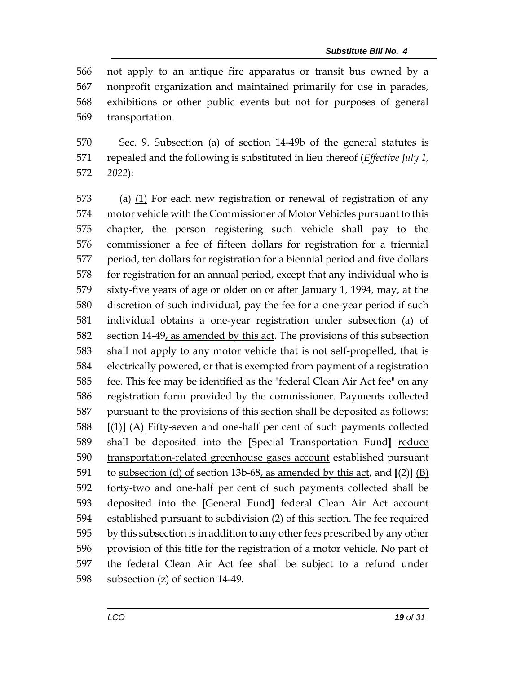not apply to an antique fire apparatus or transit bus owned by a nonprofit organization and maintained primarily for use in parades, exhibitions or other public events but not for purposes of general transportation.

 Sec. 9. Subsection (a) of section 14-49b of the general statutes is repealed and the following is substituted in lieu thereof (*Effective July 1, 2022*):

 (a) (1) For each new registration or renewal of registration of any motor vehicle with the Commissioner of Motor Vehicles pursuant to this chapter, the person registering such vehicle shall pay to the commissioner a fee of fifteen dollars for registration for a triennial period, ten dollars for registration for a biennial period and five dollars for registration for an annual period, except that any individual who is sixty-five years of age or older on or after January 1, 1994, may, at the discretion of such individual, pay the fee for a one-year period if such individual obtains a one-year registration under subsection (a) of 582 section 14-49, as amended by this act. The provisions of this subsection shall not apply to any motor vehicle that is not self-propelled, that is electrically powered, or that is exempted from payment of a registration fee. This fee may be identified as the "federal Clean Air Act fee" on any registration form provided by the commissioner. Payments collected pursuant to the provisions of this section shall be deposited as follows: **[**(1)**]** (A) Fifty-seven and one-half per cent of such payments collected shall be deposited into the **[**Special Transportation Fund**]** reduce 590 transportation-related greenhouse gases account established pursuant to subsection (d) of section 13b-68, as amended by this act, and **[**(2)**]** (B) forty-two and one-half per cent of such payments collected shall be deposited into the **[**General Fund**]** federal Clean Air Act account established pursuant to subdivision (2) of this section. The fee required by this subsection is in addition to any other fees prescribed by any other provision of this title for the registration of a motor vehicle. No part of the federal Clean Air Act fee shall be subject to a refund under subsection (z) of section 14-49.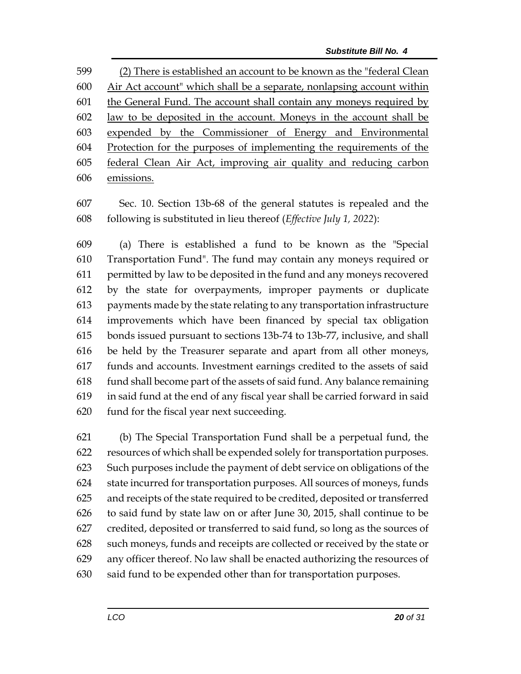(2) There is established an account to be known as the "federal Clean Air Act account" which shall be a separate, nonlapsing account within the General Fund. The account shall contain any moneys required by law to be deposited in the account. Moneys in the account shall be expended by the Commissioner of Energy and Environmental Protection for the purposes of implementing the requirements of the federal Clean Air Act, improving air quality and reducing carbon emissions.

 Sec. 10. Section 13b-68 of the general statutes is repealed and the following is substituted in lieu thereof (*Effective July 1, 2022*):

 (a) There is established a fund to be known as the "Special Transportation Fund". The fund may contain any moneys required or permitted by law to be deposited in the fund and any moneys recovered by the state for overpayments, improper payments or duplicate payments made by the state relating to any transportation infrastructure improvements which have been financed by special tax obligation bonds issued pursuant to sections 13b-74 to 13b-77, inclusive, and shall be held by the Treasurer separate and apart from all other moneys, funds and accounts. Investment earnings credited to the assets of said fund shall become part of the assets of said fund. Any balance remaining in said fund at the end of any fiscal year shall be carried forward in said fund for the fiscal year next succeeding.

 (b) The Special Transportation Fund shall be a perpetual fund, the resources of which shall be expended solely for transportation purposes. Such purposes include the payment of debt service on obligations of the state incurred for transportation purposes. All sources of moneys, funds and receipts of the state required to be credited, deposited or transferred to said fund by state law on or after June 30, 2015, shall continue to be credited, deposited or transferred to said fund, so long as the sources of such moneys, funds and receipts are collected or received by the state or any officer thereof. No law shall be enacted authorizing the resources of said fund to be expended other than for transportation purposes.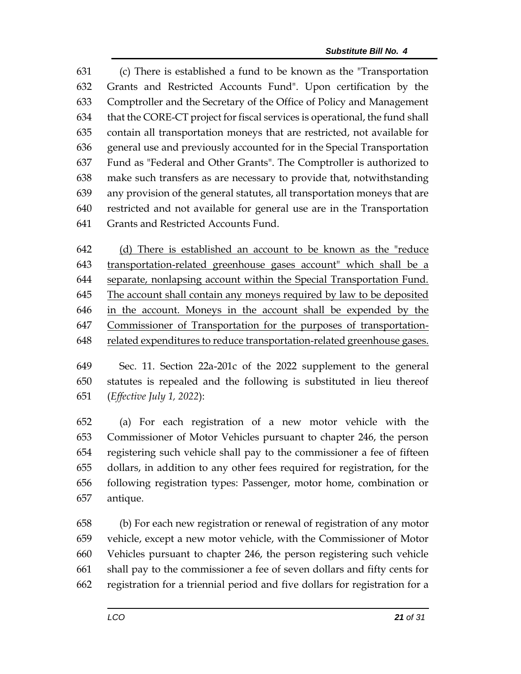(c) There is established a fund to be known as the "Transportation Grants and Restricted Accounts Fund". Upon certification by the Comptroller and the Secretary of the Office of Policy and Management that the CORE-CT project for fiscal services is operational, the fund shall contain all transportation moneys that are restricted, not available for general use and previously accounted for in the Special Transportation Fund as "Federal and Other Grants". The Comptroller is authorized to make such transfers as are necessary to provide that, notwithstanding any provision of the general statutes, all transportation moneys that are restricted and not available for general use are in the Transportation Grants and Restricted Accounts Fund.

 (d) There is established an account to be known as the "reduce transportation-related greenhouse gases account" which shall be a separate, nonlapsing account within the Special Transportation Fund. The account shall contain any moneys required by law to be deposited in the account. Moneys in the account shall be expended by the Commissioner of Transportation for the purposes of transportation-related expenditures to reduce transportation-related greenhouse gases.

 Sec. 11. Section 22a-201c of the 2022 supplement to the general statutes is repealed and the following is substituted in lieu thereof (*Effective July 1, 2022*):

 (a) For each registration of a new motor vehicle with the Commissioner of Motor Vehicles pursuant to chapter 246, the person registering such vehicle shall pay to the commissioner a fee of fifteen dollars, in addition to any other fees required for registration, for the following registration types: Passenger, motor home, combination or antique.

 (b) For each new registration or renewal of registration of any motor vehicle, except a new motor vehicle, with the Commissioner of Motor Vehicles pursuant to chapter 246, the person registering such vehicle shall pay to the commissioner a fee of seven dollars and fifty cents for registration for a triennial period and five dollars for registration for a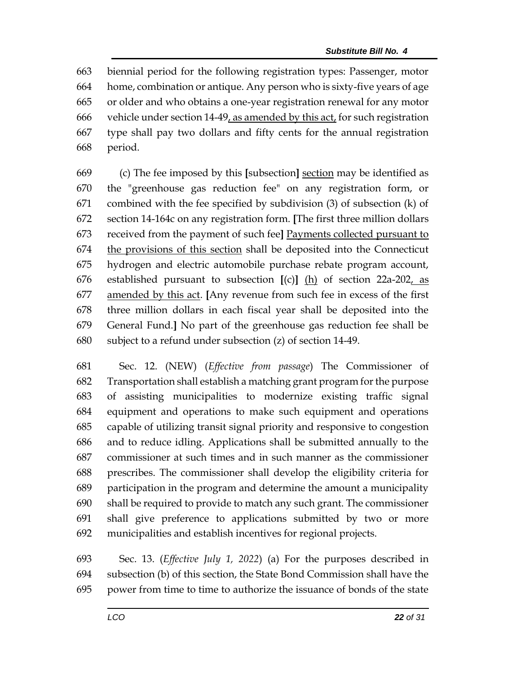biennial period for the following registration types: Passenger, motor home, combination or antique. Any person who is sixty-five years of age or older and who obtains a one-year registration renewal for any motor vehicle under section 14-49, as amended by this act, for such registration type shall pay two dollars and fifty cents for the annual registration period.

 (c) The fee imposed by this **[**subsection**]** section may be identified as the "greenhouse gas reduction fee" on any registration form, or combined with the fee specified by subdivision (3) of subsection (k) of section 14-164c on any registration form. **[**The first three million dollars received from the payment of such fee**]** Payments collected pursuant to the provisions of this section shall be deposited into the Connecticut hydrogen and electric automobile purchase rebate program account, established pursuant to subsection **[**(c)**]** (h) of section 22a-202, as amended by this act. **[**Any revenue from such fee in excess of the first three million dollars in each fiscal year shall be deposited into the General Fund.**]** No part of the greenhouse gas reduction fee shall be subject to a refund under subsection (z) of section 14-49.

 Sec. 12. (NEW) (*Effective from passage*) The Commissioner of Transportation shall establish a matching grant program for the purpose of assisting municipalities to modernize existing traffic signal equipment and operations to make such equipment and operations capable of utilizing transit signal priority and responsive to congestion and to reduce idling. Applications shall be submitted annually to the commissioner at such times and in such manner as the commissioner prescribes. The commissioner shall develop the eligibility criteria for participation in the program and determine the amount a municipality shall be required to provide to match any such grant. The commissioner shall give preference to applications submitted by two or more municipalities and establish incentives for regional projects.

 Sec. 13. (*Effective July 1, 2022*) (a) For the purposes described in subsection (b) of this section, the State Bond Commission shall have the power from time to time to authorize the issuance of bonds of the state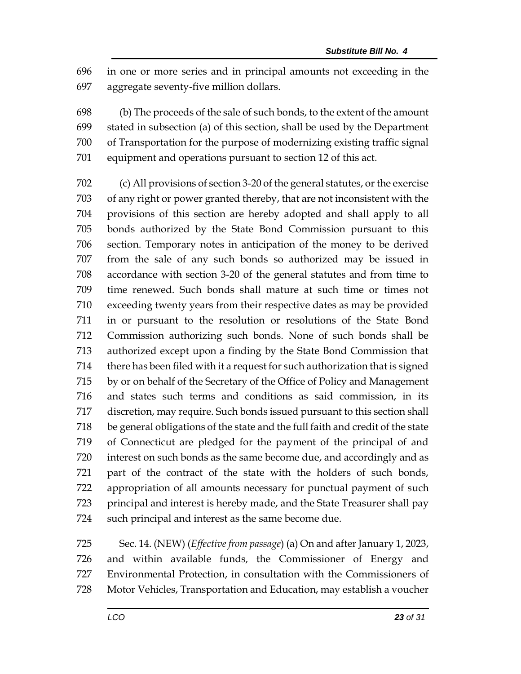in one or more series and in principal amounts not exceeding in the aggregate seventy-five million dollars.

 (b) The proceeds of the sale of such bonds, to the extent of the amount stated in subsection (a) of this section, shall be used by the Department of Transportation for the purpose of modernizing existing traffic signal equipment and operations pursuant to section 12 of this act.

 (c) All provisions of section 3-20 of the general statutes, or the exercise of any right or power granted thereby, that are not inconsistent with the provisions of this section are hereby adopted and shall apply to all bonds authorized by the State Bond Commission pursuant to this section. Temporary notes in anticipation of the money to be derived from the sale of any such bonds so authorized may be issued in accordance with section 3-20 of the general statutes and from time to time renewed. Such bonds shall mature at such time or times not exceeding twenty years from their respective dates as may be provided in or pursuant to the resolution or resolutions of the State Bond Commission authorizing such bonds. None of such bonds shall be authorized except upon a finding by the State Bond Commission that there has been filed with it a request for such authorization that is signed by or on behalf of the Secretary of the Office of Policy and Management and states such terms and conditions as said commission, in its discretion, may require. Such bonds issued pursuant to this section shall be general obligations of the state and the full faith and credit of the state of Connecticut are pledged for the payment of the principal of and interest on such bonds as the same become due, and accordingly and as part of the contract of the state with the holders of such bonds, appropriation of all amounts necessary for punctual payment of such principal and interest is hereby made, and the State Treasurer shall pay such principal and interest as the same become due.

 Sec. 14. (NEW) (*Effective from passage*) (a) On and after January 1, 2023, and within available funds, the Commissioner of Energy and Environmental Protection, in consultation with the Commissioners of Motor Vehicles, Transportation and Education, may establish a voucher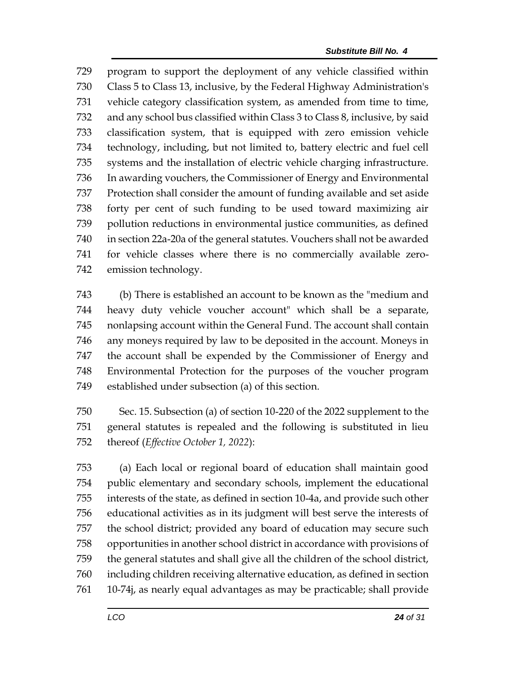program to support the deployment of any vehicle classified within Class 5 to Class 13, inclusive, by the Federal Highway Administration's vehicle category classification system, as amended from time to time, and any school bus classified within Class 3 to Class 8, inclusive, by said classification system, that is equipped with zero emission vehicle technology, including, but not limited to, battery electric and fuel cell systems and the installation of electric vehicle charging infrastructure. In awarding vouchers, the Commissioner of Energy and Environmental Protection shall consider the amount of funding available and set aside forty per cent of such funding to be used toward maximizing air pollution reductions in environmental justice communities, as defined in section 22a-20a of the general statutes. Vouchers shall not be awarded for vehicle classes where there is no commercially available zero-emission technology.

 (b) There is established an account to be known as the "medium and heavy duty vehicle voucher account" which shall be a separate, nonlapsing account within the General Fund. The account shall contain any moneys required by law to be deposited in the account. Moneys in the account shall be expended by the Commissioner of Energy and Environmental Protection for the purposes of the voucher program established under subsection (a) of this section.

 Sec. 15. Subsection (a) of section 10-220 of the 2022 supplement to the general statutes is repealed and the following is substituted in lieu thereof (*Effective October 1, 2022*):

 (a) Each local or regional board of education shall maintain good public elementary and secondary schools, implement the educational interests of the state, as defined in section 10-4a, and provide such other educational activities as in its judgment will best serve the interests of the school district; provided any board of education may secure such opportunities in another school district in accordance with provisions of the general statutes and shall give all the children of the school district, including children receiving alternative education, as defined in section 10-74j, as nearly equal advantages as may be practicable; shall provide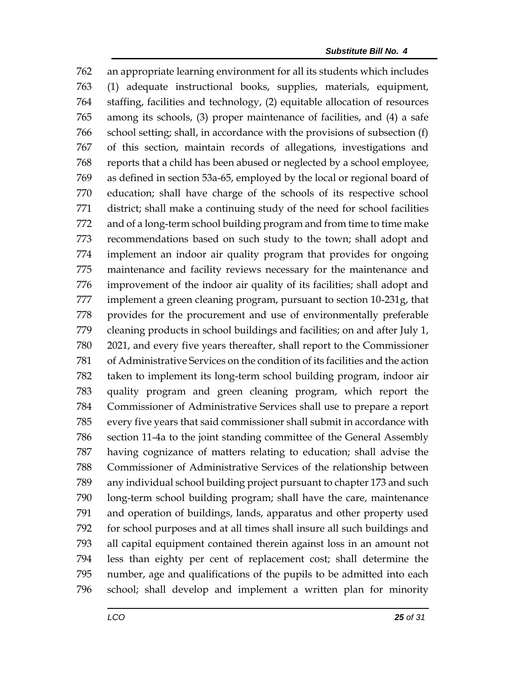an appropriate learning environment for all its students which includes (1) adequate instructional books, supplies, materials, equipment, staffing, facilities and technology, (2) equitable allocation of resources among its schools, (3) proper maintenance of facilities, and (4) a safe school setting; shall, in accordance with the provisions of subsection (f) of this section, maintain records of allegations, investigations and reports that a child has been abused or neglected by a school employee, as defined in section 53a-65, employed by the local or regional board of education; shall have charge of the schools of its respective school district; shall make a continuing study of the need for school facilities and of a long-term school building program and from time to time make recommendations based on such study to the town; shall adopt and implement an indoor air quality program that provides for ongoing maintenance and facility reviews necessary for the maintenance and improvement of the indoor air quality of its facilities; shall adopt and implement a green cleaning program, pursuant to section 10-231g, that provides for the procurement and use of environmentally preferable cleaning products in school buildings and facilities; on and after July 1, 2021, and every five years thereafter, shall report to the Commissioner of Administrative Services on the condition of its facilities and the action taken to implement its long-term school building program, indoor air quality program and green cleaning program, which report the Commissioner of Administrative Services shall use to prepare a report every five years that said commissioner shall submit in accordance with section 11-4a to the joint standing committee of the General Assembly having cognizance of matters relating to education; shall advise the Commissioner of Administrative Services of the relationship between any individual school building project pursuant to chapter 173 and such long-term school building program; shall have the care, maintenance and operation of buildings, lands, apparatus and other property used for school purposes and at all times shall insure all such buildings and all capital equipment contained therein against loss in an amount not less than eighty per cent of replacement cost; shall determine the number, age and qualifications of the pupils to be admitted into each school; shall develop and implement a written plan for minority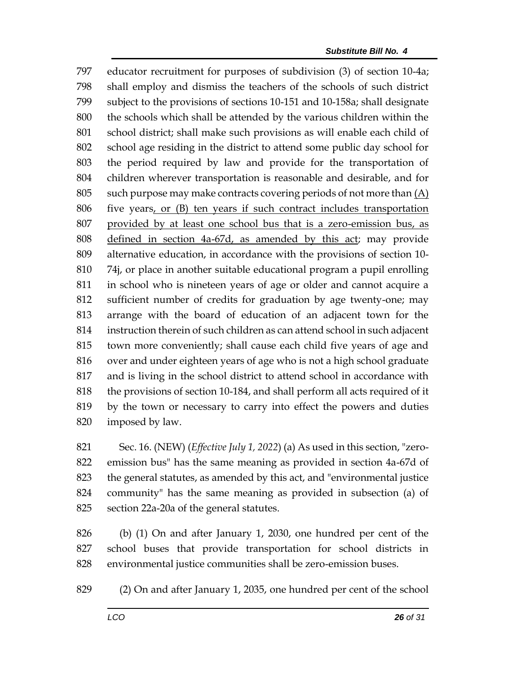educator recruitment for purposes of subdivision (3) of section 10-4a; shall employ and dismiss the teachers of the schools of such district subject to the provisions of sections 10-151 and 10-158a; shall designate the schools which shall be attended by the various children within the school district; shall make such provisions as will enable each child of school age residing in the district to attend some public day school for the period required by law and provide for the transportation of children wherever transportation is reasonable and desirable, and for 805 such purpose may make contracts covering periods of not more than  $(A)$  five years, or (B) ten years if such contract includes transportation provided by at least one school bus that is a zero-emission bus, as defined in section 4a-67d, as amended by this act; may provide alternative education, in accordance with the provisions of section 10- 74j, or place in another suitable educational program a pupil enrolling in school who is nineteen years of age or older and cannot acquire a sufficient number of credits for graduation by age twenty-one; may arrange with the board of education of an adjacent town for the instruction therein of such children as can attend school in such adjacent town more conveniently; shall cause each child five years of age and over and under eighteen years of age who is not a high school graduate and is living in the school district to attend school in accordance with the provisions of section 10-184, and shall perform all acts required of it by the town or necessary to carry into effect the powers and duties imposed by law.

 Sec. 16. (NEW) (*Effective July 1, 2022*) (a) As used in this section, "zero- emission bus" has the same meaning as provided in section 4a-67d of the general statutes, as amended by this act, and "environmental justice community" has the same meaning as provided in subsection (a) of section 22a-20a of the general statutes.

 (b) (1) On and after January 1, 2030, one hundred per cent of the school buses that provide transportation for school districts in environmental justice communities shall be zero-emission buses.

(2) On and after January 1, 2035, one hundred per cent of the school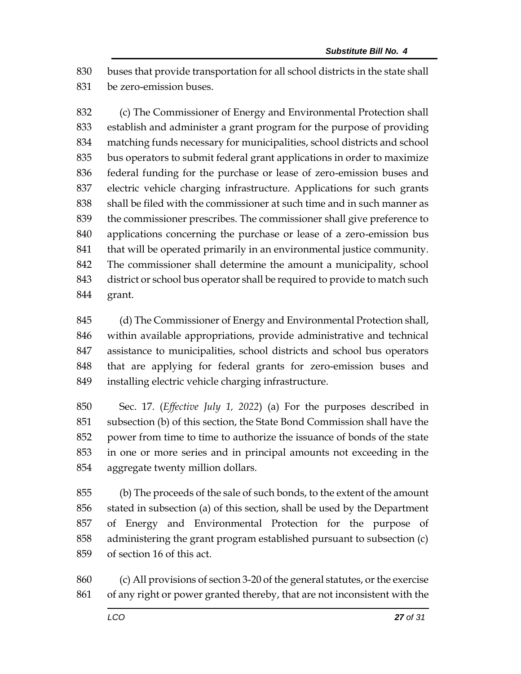buses that provide transportation for all school districts in the state shall be zero-emission buses.

 (c) The Commissioner of Energy and Environmental Protection shall establish and administer a grant program for the purpose of providing matching funds necessary for municipalities, school districts and school bus operators to submit federal grant applications in order to maximize federal funding for the purchase or lease of zero-emission buses and electric vehicle charging infrastructure. Applications for such grants shall be filed with the commissioner at such time and in such manner as the commissioner prescribes. The commissioner shall give preference to applications concerning the purchase or lease of a zero-emission bus 841 that will be operated primarily in an environmental justice community. The commissioner shall determine the amount a municipality, school district or school bus operator shall be required to provide to match such grant.

 (d) The Commissioner of Energy and Environmental Protection shall, within available appropriations, provide administrative and technical assistance to municipalities, school districts and school bus operators that are applying for federal grants for zero-emission buses and installing electric vehicle charging infrastructure.

 Sec. 17. (*Effective July 1, 2022*) (a) For the purposes described in subsection (b) of this section, the State Bond Commission shall have the power from time to time to authorize the issuance of bonds of the state in one or more series and in principal amounts not exceeding in the aggregate twenty million dollars.

 (b) The proceeds of the sale of such bonds, to the extent of the amount stated in subsection (a) of this section, shall be used by the Department of Energy and Environmental Protection for the purpose of administering the grant program established pursuant to subsection (c) of section 16 of this act.

 (c) All provisions of section 3-20 of the general statutes, or the exercise of any right or power granted thereby, that are not inconsistent with the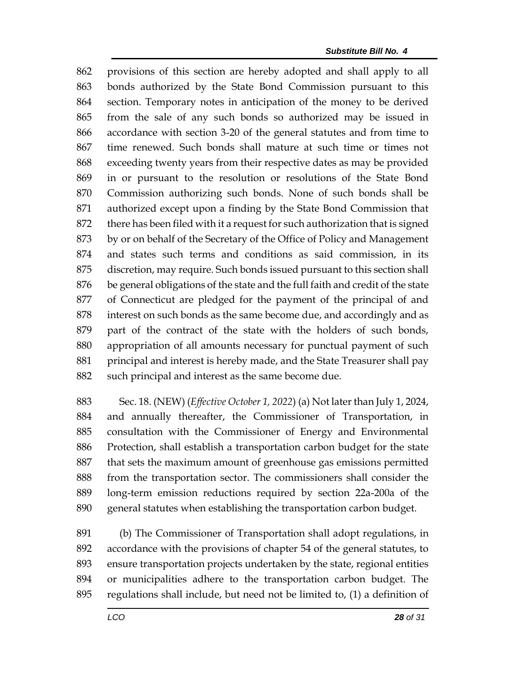provisions of this section are hereby adopted and shall apply to all bonds authorized by the State Bond Commission pursuant to this section. Temporary notes in anticipation of the money to be derived from the sale of any such bonds so authorized may be issued in accordance with section 3-20 of the general statutes and from time to time renewed. Such bonds shall mature at such time or times not exceeding twenty years from their respective dates as may be provided in or pursuant to the resolution or resolutions of the State Bond Commission authorizing such bonds. None of such bonds shall be authorized except upon a finding by the State Bond Commission that there has been filed with it a request for such authorization that is signed by or on behalf of the Secretary of the Office of Policy and Management and states such terms and conditions as said commission, in its discretion, may require. Such bonds issued pursuant to this section shall be general obligations of the state and the full faith and credit of the state of Connecticut are pledged for the payment of the principal of and interest on such bonds as the same become due, and accordingly and as part of the contract of the state with the holders of such bonds, appropriation of all amounts necessary for punctual payment of such principal and interest is hereby made, and the State Treasurer shall pay 882 such principal and interest as the same become due.

 Sec. 18. (NEW) (*Effective October 1, 2022*) (a) Not later than July 1, 2024, and annually thereafter, the Commissioner of Transportation, in consultation with the Commissioner of Energy and Environmental Protection, shall establish a transportation carbon budget for the state that sets the maximum amount of greenhouse gas emissions permitted from the transportation sector. The commissioners shall consider the long-term emission reductions required by section 22a-200a of the general statutes when establishing the transportation carbon budget.

 (b) The Commissioner of Transportation shall adopt regulations, in accordance with the provisions of chapter 54 of the general statutes, to ensure transportation projects undertaken by the state, regional entities or municipalities adhere to the transportation carbon budget. The regulations shall include, but need not be limited to, (1) a definition of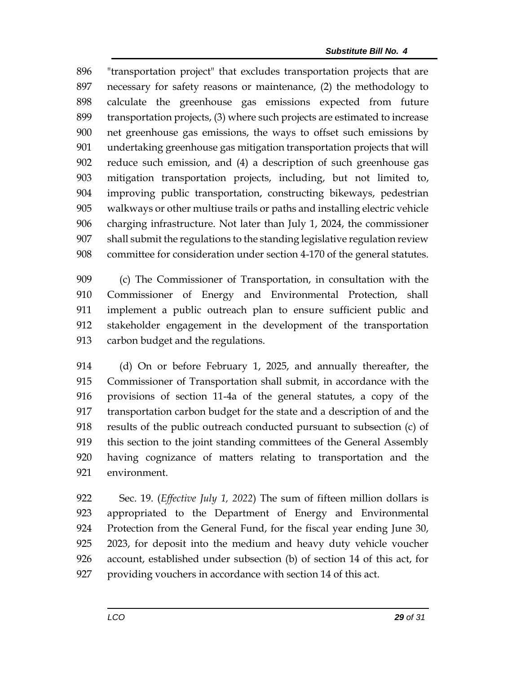"transportation project" that excludes transportation projects that are necessary for safety reasons or maintenance, (2) the methodology to calculate the greenhouse gas emissions expected from future transportation projects, (3) where such projects are estimated to increase net greenhouse gas emissions, the ways to offset such emissions by undertaking greenhouse gas mitigation transportation projects that will reduce such emission, and (4) a description of such greenhouse gas mitigation transportation projects, including, but not limited to, improving public transportation, constructing bikeways, pedestrian walkways or other multiuse trails or paths and installing electric vehicle charging infrastructure. Not later than July 1, 2024, the commissioner shall submit the regulations to the standing legislative regulation review committee for consideration under section 4-170 of the general statutes.

 (c) The Commissioner of Transportation, in consultation with the Commissioner of Energy and Environmental Protection, shall implement a public outreach plan to ensure sufficient public and stakeholder engagement in the development of the transportation carbon budget and the regulations.

 (d) On or before February 1, 2025, and annually thereafter, the Commissioner of Transportation shall submit, in accordance with the provisions of section 11-4a of the general statutes, a copy of the transportation carbon budget for the state and a description of and the results of the public outreach conducted pursuant to subsection (c) of this section to the joint standing committees of the General Assembly having cognizance of matters relating to transportation and the environment.

 Sec. 19. (*Effective July 1, 2022*) The sum of fifteen million dollars is appropriated to the Department of Energy and Environmental Protection from the General Fund, for the fiscal year ending June 30, 2023, for deposit into the medium and heavy duty vehicle voucher account, established under subsection (b) of section 14 of this act, for providing vouchers in accordance with section 14 of this act.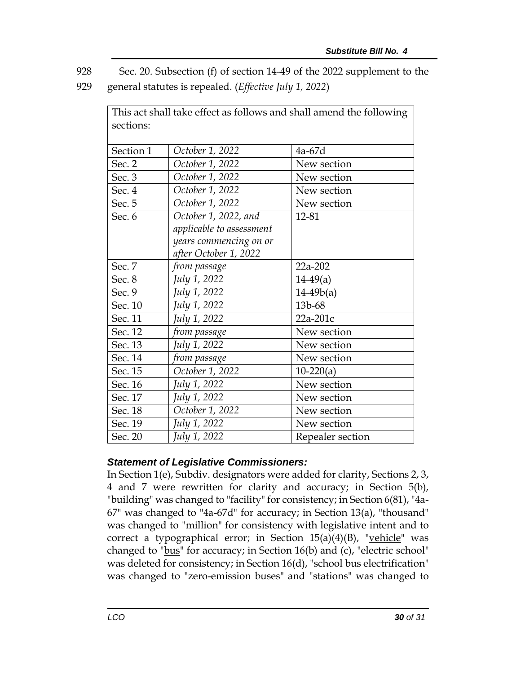928 Sec. 20. Subsection (f) of section 14-49 of the 2022 supplement to the

929 general statutes is repealed. (*Effective July 1, 2022*)

| This act shall take effect as follows and shall amend the following |                          |                  |  |
|---------------------------------------------------------------------|--------------------------|------------------|--|
| sections:                                                           |                          |                  |  |
|                                                                     |                          |                  |  |
| Section 1                                                           | October 1, 2022          | 4a-67d           |  |
| Sec. 2                                                              | October 1, 2022          | New section      |  |
| Sec. 3                                                              | October 1, 2022          | New section      |  |
| Sec. 4                                                              | October 1, 2022          | New section      |  |
| Sec. 5                                                              | October 1, 2022          | New section      |  |
| Sec. 6                                                              | October 1, 2022, and     | 12-81            |  |
|                                                                     | applicable to assessment |                  |  |
|                                                                     | years commencing on or   |                  |  |
|                                                                     | after October 1, 2022    |                  |  |
| Sec. 7                                                              | from passage             | 22a-202          |  |
| Sec. 8                                                              | July 1, 2022             | $14-49(a)$       |  |
| Sec. 9                                                              | July 1, 2022             | $14-49b(a)$      |  |
| Sec. 10                                                             | July 1, 2022             | 13b-68           |  |
| Sec. 11                                                             | July 1, 2022             | 22a-201c         |  |
| Sec. 12                                                             | from passage             | New section      |  |
| Sec. 13                                                             | July 1, 2022             | New section      |  |
| Sec. 14                                                             | from passage             | New section      |  |
| Sec. 15                                                             | October 1, 2022          | $10-220(a)$      |  |
| Sec. 16                                                             | July 1, 2022             | New section      |  |
| Sec. 17                                                             | July 1, 2022             | New section      |  |
| Sec. 18                                                             | October 1, 2022          | New section      |  |
| Sec. 19                                                             | July 1, 2022             | New section      |  |
| Sec. 20                                                             | July 1, 2022             | Repealer section |  |

## *Statement of Legislative Commissioners:*

In Section 1(e), Subdiv. designators were added for clarity, Sections 2, 3, 4 and 7 were rewritten for clarity and accuracy; in Section 5(b), "building" was changed to "facility" for consistency; in Section 6(81), "4a-67" was changed to "4a-67d" for accuracy; in Section 13(a), "thousand" was changed to "million" for consistency with legislative intent and to correct a typographical error; in Section  $15(a)(4)(B)$ , "vehicle" was changed to "bus" for accuracy; in Section 16(b) and (c), "electric school" was deleted for consistency; in Section 16(d), "school bus electrification" was changed to "zero-emission buses" and "stations" was changed to